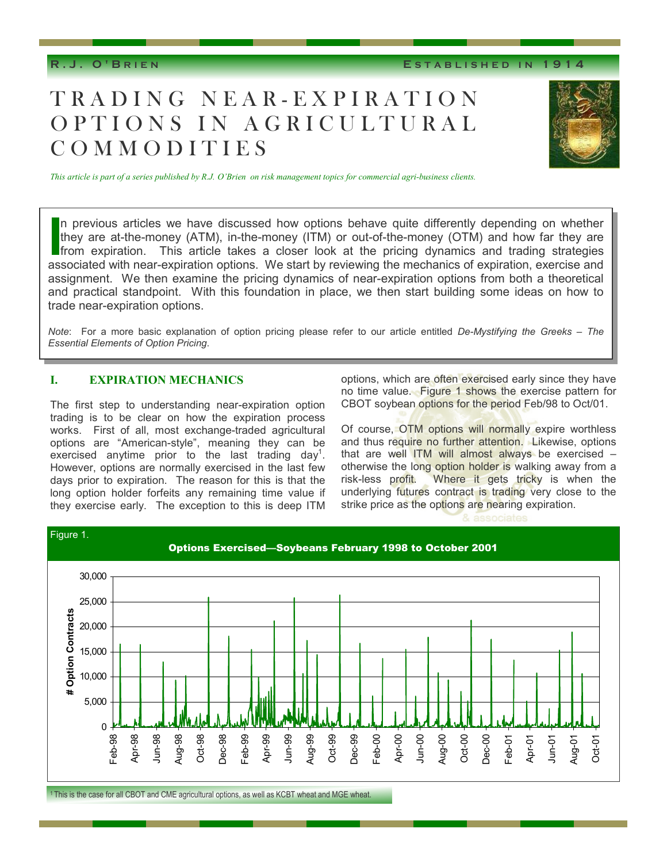**R.J. O'B RIEN E STABLISHED I N 1914** 

# TRADING NEAR-EXPIRATION OPTIONS IN AGRICULTURAL COMMODITIES



*This article is part of a series published by R.J. O'Brien on risk management topics for commercial agri-business clients.* 

n previous articles we have discussed how options behave quite differently depending on whether they are at-the-money (ATM), in-the-money (ITM) or out-of-the-money (OTM) and how far they are from expiration. This article takes a closer look at the pricing dynamics and trading strategies associated with near-expiration options. We start by reviewing the mechanics of expiration, exercise and assignment. We then examine the pricing dynamics of near-expiration options from both a theoretical and practical standpoint. With this foundation in place, we then start building some ideas on how to trade near-expiration options.

*Note*: For a more basic explanation of option pricing please refer to our article entitled *De-Mystifying the Greeks – The Essential Elements of Option Pricing*.

### **I. EXPIRATION MECHANICS**

The first step to understanding near-expiration option trading is to be clear on how the expiration process works. First of all, most exchange-traded agricultural options are "American-style", meaning they can be exercised anytime prior to the last trading day<sup>1</sup>. However, options are normally exercised in the last few days prior to expiration. The reason for this is that the long option holder forfeits any remaining time value if they exercise early. The exception to this is deep ITM

options, which are often exercised early since they have no time value. Figure 1 shows the exercise pattern for CBOT soybean options for the period Feb/98 to Oct/01.

Of course, OTM options will normally expire worthless and thus require no further attention. Likewise, options that are well ITM will almost always be exercised – otherwise the long option holder is walking away from a risk-less profit. Where it gets tricky is when the underlying futures contract is trading very close to the strike price as the options are nearing expiration.

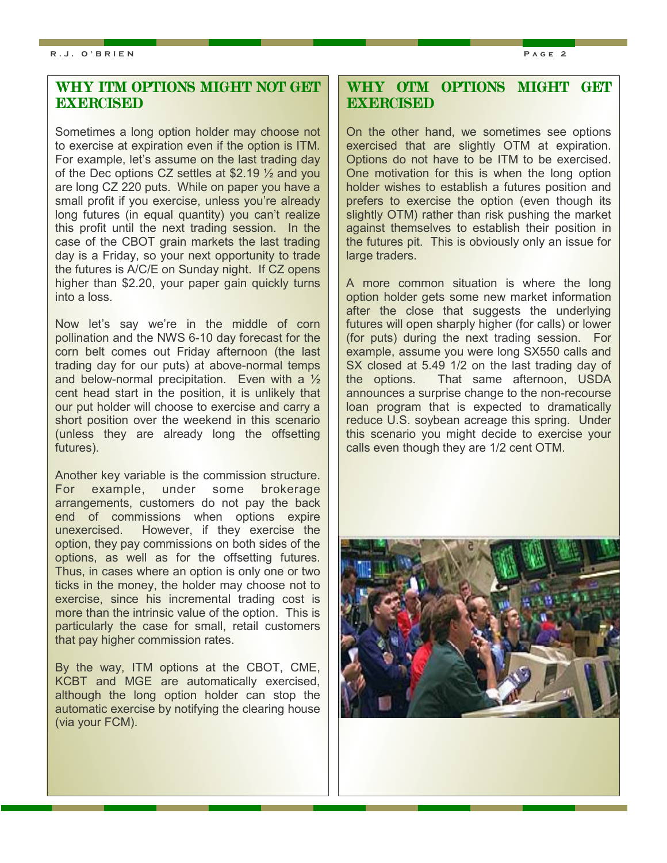## WHY ITM OPTIONS MIGHT NOT GET **EXERCISED**

Sometimes a long option holder may choose not to exercise at expiration even if the option is ITM. For example, let's assume on the last trading day of the Dec options CZ settles at \$2.19 ½ and you are long CZ 220 puts. While on paper you have a small profit if you exercise, unless you're already long futures (in equal quantity) you can't realize this profit until the next trading session. In the case of the CBOT grain markets the last trading day is a Friday, so your next opportunity to trade the futures is A/C/E on Sunday night. If CZ opens higher than \$2.20, your paper gain quickly turns into a loss.

Now let's say we're in the middle of corn pollination and the NWS 6-10 day forecast for the corn belt comes out Friday afternoon (the last trading day for our puts) at above-normal temps and below-normal precipitation. Even with a ½ cent head start in the position, it is unlikely that our put holder will choose to exercise and carry a short position over the weekend in this scenario (unless they are already long the offsetting futures).

Another key variable is the commission structure. For example, under some brokerage arrangements, customers do not pay the back end of commissions when options expire unexercised. However, if they exercise the option, they pay commissions on both sides of the options, as well as for the offsetting futures. Thus, in cases where an option is only one or two ticks in the money, the holder may choose not to exercise, since his incremental trading cost is more than the intrinsic value of the option. This is particularly the case for small, retail customers that pay higher commission rates.

By the way, ITM options at the CBOT, CME, KCBT and MGE are automatically exercised, although the long option holder can stop the automatic exercise by notifying the clearing house (via your FCM).

## WHY OTM OPTIONS MIGHT GET **EXERCISED**

On the other hand, we sometimes see options exercised that are slightly OTM at expiration. Options do not have to be ITM to be exercised. One motivation for this is when the long option holder wishes to establish a futures position and prefers to exercise the option (even though its slightly OTM) rather than risk pushing the market against themselves to establish their position in the futures pit. This is obviously only an issue for large traders.

A more common situation is where the long option holder gets some new market information after the close that suggests the underlying futures will open sharply higher (for calls) or lower (for puts) during the next trading session. For example, assume you were long SX550 calls and SX closed at 5.49 1/2 on the last trading day of the options. That same afternoon, USDA announces a surprise change to the non-recourse loan program that is expected to dramatically reduce U.S. soybean acreage this spring. Under this scenario you might decide to exercise your calls even though they are 1/2 cent OTM.

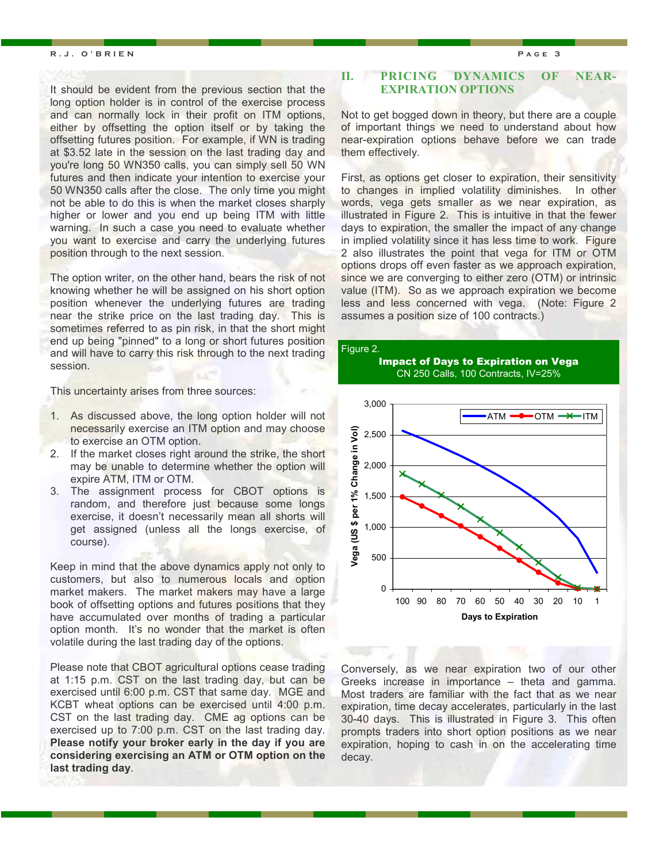#### **R.J. O'BRIEN Page 3**

It should be evident from the previous section that the long option holder is in control of the exercise process and can normally lock in their profit on ITM options, either by offsetting the option itself or by taking the offsetting futures position. For example, if WN is trading at \$3.52 late in the session on the last trading day and you're long 50 WN350 calls, you can simply sell 50 WN futures and then indicate your intention to exercise your 50 WN350 calls after the close. The only time you might not be able to do this is when the market closes sharply higher or lower and you end up being ITM with little warning. In such a case you need to evaluate whether you want to exercise and carry the underlying futures position through to the next session.

The option writer, on the other hand, bears the risk of not knowing whether he will be assigned on his short option position whenever the underlying futures are trading near the strike price on the last trading day. This is sometimes referred to as pin risk, in that the short might end up being "pinned" to a long or short futures position and will have to carry this risk through to the next trading session.

This uncertainty arises from three sources:

- 1. As discussed above, the long option holder will not necessarily exercise an ITM option and may choose to exercise an OTM option.
- 2. If the market closes right around the strike, the short may be unable to determine whether the option will expire ATM, ITM or OTM.
- 3. The assignment process for CBOT options is random, and therefore just because some longs exercise, it doesn't necessarily mean all shorts will get assigned (unless all the longs exercise, of course).

Keep in mind that the above dynamics apply not only to customers, but also to numerous locals and option market makers. The market makers may have a large book of offsetting options and futures positions that they have accumulated over months of trading a particular option month. It's no wonder that the market is often volatile during the last trading day of the options.

Please note that CBOT agricultural options cease trading at 1:15 p.m. CST on the last trading day, but can be exercised until 6:00 p.m. CST that same day. MGE and KCBT wheat options can be exercised until 4:00 p.m. CST on the last trading day. CME ag options can be exercised up to 7:00 p.m. CST on the last trading day. **Please notify your broker early in the day if you are considering exercising an ATM or OTM option on the last trading day**.

### **II. PRICING DYNAMICS OF NEAR- EXPIRATION OPTIONS**

Not to get bogged down in theory, but there are a couple of important things we need to understand about how near-expiration options behave before we can trade them effectively.

First, as options get closer to expiration, their sensitivity to changes in implied volatility diminishes. In other words, vega gets smaller as we near expiration, as illustrated in Figure 2. This is intuitive in that the fewer days to expiration, the smaller the impact of any change in implied volatility since it has less time to work. Figure 2 also illustrates the point that vega for ITM or OTM options drops off even faster as we approach expiration, since we are converging to either zero (OTM) or intrinsic value (ITM). So as we approach expiration we become less and less concerned with vega. (Note: Figure 2 assumes a position size of 100 contracts.)

#### Figure 2.





Conversely, as we near expiration two of our other Greeks increase in importance – theta and gamma. Most traders are familiar with the fact that as we near expiration, time decay accelerates, particularly in the last 30-40 days. This is illustrated in Figure 3. This often prompts traders into short option positions as we near expiration, hoping to cash in on the accelerating time decay.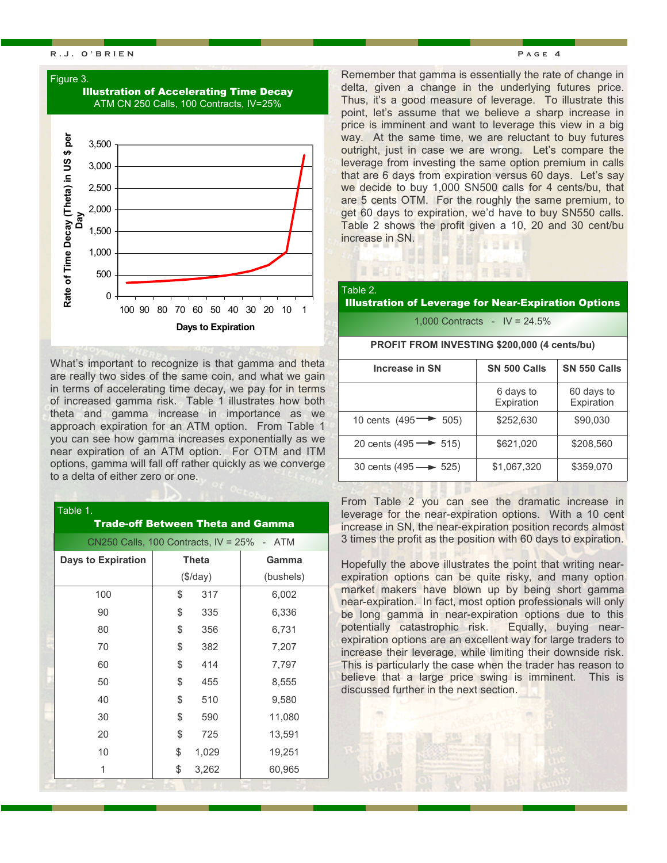#### **R.J. O'BRIEN Page 4**

#### Figure 3.



What's important to recognize is that gamma and theta are really two sides of the same coin, and what we gain in terms of accelerating time decay, we pay for in terms of increased gamma risk. Table 1 illustrates how both theta and gamma increase in importance as we approach expiration for an ATM option. From Table 1 you can see how gamma increases exponentially as we near expiration of an ATM option. For OTM and ITM options, gamma will fall off rather quickly as we converge to a delta of either zero or one.

| Table 1.                                      |    |              | <b>Trade-off Between Theta and Gamma</b> |  |  |
|-----------------------------------------------|----|--------------|------------------------------------------|--|--|
| CN250 Calls, 100 Contracts, $IV = 25\% - ATM$ |    |              |                                          |  |  |
| <b>Days to Expiration</b>                     |    | <b>Theta</b> | Gamma                                    |  |  |
|                                               |    | $(\$/day)$   | (bushels)                                |  |  |
| 100                                           | \$ | 317          | 6,002                                    |  |  |
| 90                                            | \$ | 335          | 6,336                                    |  |  |
| 80                                            | \$ | 356          | 6,731                                    |  |  |
| 70                                            | \$ | 382          | 7,207                                    |  |  |
| 60                                            | \$ | 414          | 7,797                                    |  |  |
| 50                                            | \$ | 455          | 8,555                                    |  |  |
| 40                                            | \$ | 510          | 9,580                                    |  |  |
| 30                                            | \$ | 590          | 11,080                                   |  |  |
| 20                                            | \$ | 725          | 13,591                                   |  |  |
| 10                                            | \$ | 1,029        | 19,251                                   |  |  |
| 1                                             | \$ | 3,262        | 60,965                                   |  |  |
|                                               |    |              |                                          |  |  |

Remember that gamma is essentially the rate of change in delta, given a change in the underlying futures price. Thus, it's a good measure of leverage. To illustrate this point, let's assume that we believe a sharp increase in price is imminent and want to leverage this view in a big way. At the same time, we are reluctant to buy futures outright, just in case we are wrong. Let's compare the leverage from investing the same option premium in calls that are 6 days from expiration versus 60 days. Let's say we decide to buy 1,000 SN500 calls for 4 cents/bu, that are 5 cents OTM. For the roughly the same premium, to get 60 days to expiration, we'd have to buy SN550 calls. Table 2 shows the profit given a 10, 20 and 30 cent/bu increase in SN. **SHI** 

## Table 2.

#### Illustration of Leverage for Near-Expiration Options

日目目

1,000 Contracts - IV = 24.5%

#### **PROFIT FROM INVESTING \$200,000 (4 cents/bu)**

| Increase in SN                      | SN 500 Calls            | SN 550 Calls             |
|-------------------------------------|-------------------------|--------------------------|
|                                     | 6 days to<br>Expiration | 60 days to<br>Expiration |
| 10 cents $(495 \rightarrow$<br>505) | \$252,630               | \$90,030                 |
| 20 cents (495 $\rightarrow$ 515)    | \$621,020               | \$208,560                |
| 30 cents $(495 \rightarrow 525)$    | \$1,067,320             | \$359,070                |

From Table 2 you can see the dramatic increase in leverage for the near-expiration options. With a 10 cent increase in SN, the near-expiration position records almost 3 times the profit as the position with 60 days to expiration.

Hopefully the above illustrates the point that writing nearexpiration options can be quite risky, and many option market makers have blown up by being short gamma near-expiration. In fact, most option professionals will only be long gamma in near-expiration options due to this potentially catastrophic risk. Equally, buying nearexpiration options are an excellent way for large traders to increase their leverage, while limiting their downside risk. This is particularly the case when the trader has reason to believe that a large price swing is imminent. This is discussed further in the next section.